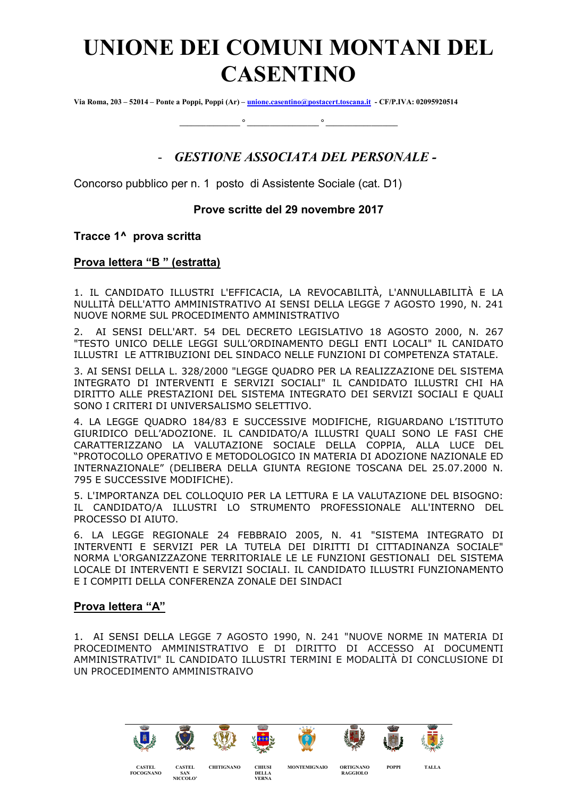# UNIONE DEI COMUNI MONTANI DEL CASENTINO

Via Roma, 203 – 52014 – Ponte a Poppi, Poppi (Ar) – unione.casentino@postacert.toscana.it - CF/P.IVA: 02095920514

\_\_\_\_\_\_\_\_\_\_\_\_\_\_\_\_ ° \_\_\_\_\_\_\_\_\_\_\_\_\_\_\_\_\_\_\_ ° \_\_\_\_\_\_\_\_\_\_\_\_\_\_\_\_\_\_\_

## - GESTIONE ASSOCIATA DEL PERSONALE -

Concorso pubblico per n. 1 posto di Assistente Sociale (cat. D1)

### Prove scritte del 29 novembre 2017

#### Tracce 1^ prova scritta

#### Prova lettera "B " (estratta)

1. IL CANDIDATO ILLUSTRI L'EFFICACIA, LA REVOCABILITÀ, L'ANNULLABILITÀ E LA NULLITÀ DELL'ATTO AMMINISTRATIVO AI SENSI DELLA LEGGE 7 AGOSTO 1990, N. 241 NUOVE NORME SUL PROCEDIMENTO AMMINISTRATIVO

2. AI SENSI DELL'ART. 54 DEL DECRETO LEGISLATIVO 18 AGOSTO 2000, N. 267 "TESTO UNICO DELLE LEGGI SULL'ORDINAMENTO DEGLI ENTI LOCALI" IL CANIDATO ILLUSTRI LE ATTRIBUZIONI DEL SINDACO NELLE FUNZIONI DI COMPETENZA STATALE.

3. AI SENSI DELLA L. 328/2000 "LEGGE QUADRO PER LA REALIZZAZIONE DEL SISTEMA INTEGRATO DI INTERVENTI E SERVIZI SOCIALI" IL CANDIDATO ILLUSTRI CHI HA DIRITTO ALLE PRESTAZIONI DEL SISTEMA INTEGRATO DEI SERVIZI SOCIALI E QUALI SONO I CRITERI DI UNIVERSALISMO SELETTIVO.

4. LA LEGGE QUADRO 184/83 E SUCCESSIVE MODIFICHE, RIGUARDANO L'ISTITUTO GIURIDICO DELL'ADOZIONE. IL CANDIDATO/A ILLUSTRI QUALI SONO LE FASI CHE CARATTERIZZANO LA VALUTAZIONE SOCIALE DELLA COPPIA, ALLA LUCE DEL "PROTOCOLLO OPERATIVO E METODOLOGICO IN MATERIA DI ADOZIONE NAZIONALE ED INTERNAZIONALE" (DELIBERA DELLA GIUNTA REGIONE TOSCANA DEL 25.07.2000 N. 795 E SUCCESSIVE MODIFICHE).

5. L'IMPORTANZA DEL COLLOQUIO PER LA LETTURA E LA VALUTAZIONE DEL BISOGNO: IL CANDIDATO/A ILLUSTRI LO STRUMENTO PROFESSIONALE ALL'INTERNO DEL PROCESSO DI AIUTO.

6. LA LEGGE REGIONALE 24 FEBBRAIO 2005, N. 41 "SISTEMA INTEGRATO DI INTERVENTI E SERVIZI PER LA TUTELA DEI DIRITTI DI CITTADINANZA SOCIALE" NORMA L'ORGANIZZAZONE TERRITORIALE LE LE FUNZIONI GESTIONALI DEL SISTEMA LOCALE DI INTERVENTI E SERVIZI SOCIALI. IL CANDIDATO ILLUSTRI FUNZIONAMENTO E I COMPITI DELLA CONFERENZA ZONALE DEI SINDACI

#### Prova lettera "A"

CASTEL FOCOGNANO

CASTEL SAN NICCOLO'

1. AI SENSI DELLA LEGGE 7 AGOSTO 1990, N. 241 "NUOVE NORME IN MATERIA DI PROCEDIMENTO AMMINISTRATIVO E DI DIRITTO DI ACCESSO AI DOCUMENTI AMMINISTRATIVI" IL CANDIDATO ILLUSTRI TERMINI E MODALITÀ DI CONCLUSIONE DI UN PROCEDIMENTO AMMINISTRAIVO



MONTEMIGNAIO ORTIGNANO RAGGIOLO

POPPI TALLA

CHITIGNANO CHIUSI

**DELLA** VERNA